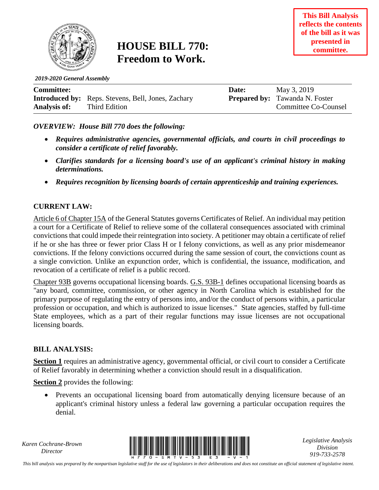

## **HOUSE BILL 770: Freedom to Work.**

*2019-2020 General Assembly*

| <b>Committee:</b>   |                                                           | Date: | May 3, 2019                           |
|---------------------|-----------------------------------------------------------|-------|---------------------------------------|
|                     | <b>Introduced by:</b> Reps. Stevens, Bell, Jones, Zachary |       | <b>Prepared by:</b> Tawanda N. Foster |
| <b>Analysis of:</b> | Third Edition                                             |       | Committee Co-Counsel                  |

*OVERVIEW: House Bill 770 does the following:*

- *Requires administrative agencies, governmental officials, and courts in civil proceedings to consider a certificate of relief favorably.*
- *Clarifies standards for a licensing board's use of an applicant's criminal history in making determinations.*
- *Requires recognition by licensing boards of certain apprenticeship and training experiences.*

## **CURRENT LAW:**

Article 6 of Chapter 15A of the General Statutes governs Certificates of Relief. An individual may petition a court for a Certificate of Relief to relieve some of the collateral consequences associated with criminal convictions that could impede their reintegration into society. A petitioner may obtain a certificate of relief if he or she has three or fewer prior Class H or I felony convictions, as well as any prior misdemeanor convictions. If the felony convictions occurred during the same session of court, the convictions count as a single conviction. Unlike an expunction order, which is confidential, the issuance, modification, and revocation of a certificate of relief is a public record.

Chapter 93B governs occupational licensing boards. G.S. 93B-1 defines occupational licensing boards as "any board, committee, commission, or other agency in North Carolina which is established for the primary purpose of regulating the entry of persons into, and/or the conduct of persons within, a particular profession or occupation, and which is authorized to issue licenses." State agencies, staffed by full-time State employees, which as a part of their regular functions may issue licenses are not occupational licensing boards.

## **BILL ANALYSIS:**

**Section 1** requires an administrative agency, governmental official, or civil court to consider a Certificate of Relief favorably in determining whether a conviction should result in a disqualification.

**Section 2** provides the following:

 Prevents an occupational licensing board from automatically denying licensure because of an applicant's criminal history unless a federal law governing a particular occupation requires the denial.

*Karen Cochrane-Brown*



*Legislative Analysis Division 919-733-2578*

*This bill analysis was prepared by the nonpartisan legislative staff for the use of legislators in their deliberations and does not constitute an official statement of legislative intent.*